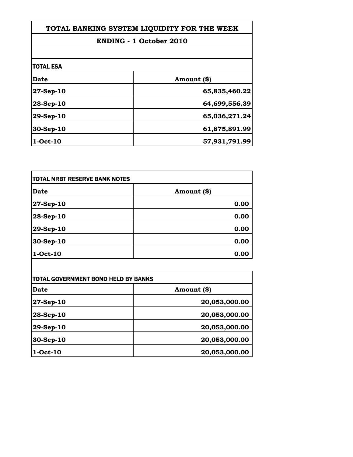| TOTAL BANKING SYSTEM LIQUIDITY FOR THE WEEK |               |
|---------------------------------------------|---------------|
| <b>ENDING - 1 October 2010</b>              |               |
|                                             |               |
| <b>TOTAL ESA</b>                            |               |
| <b>Date</b>                                 | Amount (\$)   |
| 27-Sep-10                                   | 65,835,460.22 |
| 28-Sep-10                                   | 64,699,556.39 |
| 29-Sep-10                                   | 65,036,271.24 |
| 30-Sep-10                                   | 61,875,891.99 |
| 1-Oct-10                                    | 57,931,791.99 |

Г

| TOTAL NRBT RESERVE BANK NOTES |             |
|-------------------------------|-------------|
| Date                          | Amount (\$) |
| 27-Sep-10                     | 0.00        |
| 28-Sep-10                     | 0.00        |
| 29-Sep-10                     | 0.00        |
| 30-Sep-10                     | 0.00        |
| 1-Oct-10                      | 0.00        |

| TOTAL GOVERNMENT BOND HELD BY BANKS |               |
|-------------------------------------|---------------|
| Date                                | Amount (\$)   |
| $27 - Sep - 10$                     | 20,053,000.00 |
| 28-Sep-10                           | 20,053,000.00 |
| 29-Sep-10                           | 20,053,000.00 |
| 30-Sep-10                           | 20,053,000.00 |
| 1-Oct-10                            | 20,053,000.00 |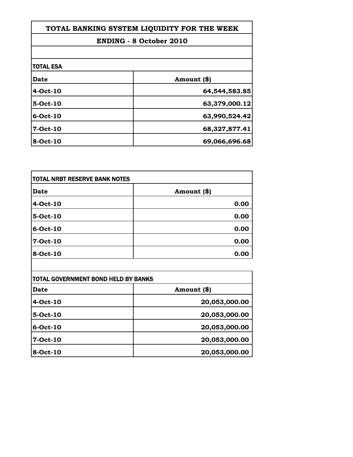| TOTAL BANKING SYSTEM LIQUIDITY FOR THE WEEK |  |
|---------------------------------------------|--|
| <b>ENDING - 8 October 2010</b>              |  |
|                                             |  |
|                                             |  |
| Amount (\$)                                 |  |
| 64,544,583.85                               |  |
| 63,379,000.12                               |  |
| 63,990,524.42                               |  |
| 68,327,877.41                               |  |
| 69,066,696.68                               |  |
|                                             |  |

| TOTAL NRBT RESERVE BANK NOTES |             |
|-------------------------------|-------------|
| <b>Date</b>                   | Amount (\$) |
| 4-Oct-10                      | 0.00        |
| 5-Oct-10                      | 0.00        |
| 6-Oct-10                      | 0.00        |
| 7-Oct-10                      | 0.00        |
| 8-Oct-10                      | 0.00        |

| TOTAL GOVERNMENT BOND HELD BY BANKS |               |
|-------------------------------------|---------------|
| Date                                | Amount (\$)   |
| 4-Oct-10                            | 20,053,000.00 |
| 5-Oct-10                            | 20,053,000.00 |
| 6-Oct-10                            | 20,053,000.00 |
| 7-Oct-10                            | 20,053,000.00 |
| 8-Oct-10                            | 20,053,000.00 |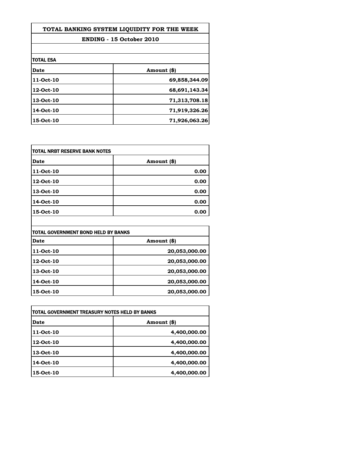| TOTAL BANKING SYSTEM LIQUIDITY FOR THE WEEK |               |
|---------------------------------------------|---------------|
| <b>ENDING - 15 October 2010</b>             |               |
|                                             |               |
| <b>TOTAL ESA</b>                            |               |
| Date                                        | Amount (\$)   |
| 11-Oct-10                                   | 69,858,344.09 |
| 12-Oct-10                                   | 68,691,143.34 |
| 13-Oct-10                                   | 71,313,708.18 |
| 14-Oct-10                                   | 71,919,326.26 |
| 15-Oct-10                                   | 71,926,063.26 |

| TOTAL NRBT RESERVE BANK NOTES |             |
|-------------------------------|-------------|
| <b>Date</b>                   | Amount (\$) |
| 11-Oct-10                     | 0.00        |
| 12-Oct-10                     | 0.00        |
| 13-Oct-10                     | 0.00        |
| 14-Oct-10                     | 0.00        |
| 15-Oct-10                     | 0.00        |

| TOTAL GOVERNMENT BOND HELD BY BANKS |               |
|-------------------------------------|---------------|
| <b>Date</b>                         | Amount (\$)   |
| 11-Oct-10                           | 20,053,000.00 |
| 12-Oct-10                           | 20,053,000.00 |
| 13-Oct-10                           | 20,053,000.00 |
| 14-Oct-10                           | 20,053,000.00 |
| 15-Oct-10                           | 20,053,000.00 |

| itotal Government treasury notes held by Banks |              |
|------------------------------------------------|--------------|
| Date                                           | Amount (\$)  |
| 11-Oct-10                                      | 4,400,000.00 |
| 12-Oct-10                                      | 4,400,000.00 |
| 13-Oct-10                                      | 4,400,000.00 |
| 14-Oct-10                                      | 4,400,000.00 |
| 15-Oct-10                                      | 4,400,000.00 |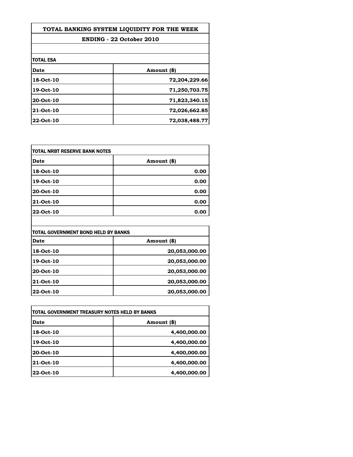| TOTAL BANKING SYSTEM LIOUIDITY FOR THE WEEK |               |
|---------------------------------------------|---------------|
| <b>ENDING - 22 October 2010</b>             |               |
|                                             |               |
| <b>TOTAL ESA</b>                            |               |
| Date                                        | Amount (\$)   |
| 18-Oct-10                                   | 72,204,229.66 |
| 19-Oct-10                                   | 71,250,703.75 |
| 20-Oct-10                                   | 71,823,340.15 |
| 21-Oct-10                                   | 72,026,662.85 |
| 22-Oct-10                                   | 72,038,488.77 |

| <b>TOTAL NRBT RESERVE BANK NOTES</b> |             |
|--------------------------------------|-------------|
| <b>Date</b>                          | Amount (\$) |
| 18-Oct-10                            | 0.00        |
| 19-Oct-10                            | 0.00        |
| 20-Oct-10                            | 0.00        |
| 21-Oct-10                            | 0.00        |
| 22-Oct-10                            | 0.00        |

| TOTAL GOVERNMENT BOND HELD BY BANKS |               |
|-------------------------------------|---------------|
| <b>Date</b>                         | Amount (\$)   |
| 18-Oct-10                           | 20,053,000.00 |
| 19-Oct-10                           | 20,053,000.00 |
| 20-Oct-10                           | 20,053,000.00 |
| 21-Oct-10                           | 20,053,000.00 |
| 22-Oct-10                           | 20,053,000.00 |

| itotal government treasury notes held by banks |              |
|------------------------------------------------|--------------|
| Date                                           | Amount (\$)  |
| 18-Oct-10                                      | 4,400,000.00 |
| 19-Oct-10                                      | 4,400,000.00 |
| 20-Oct-10                                      | 4,400,000.00 |
| <b>21-Oct-10</b>                               | 4,400,000.00 |
| 22-Oct-10                                      | 4,400,000.00 |